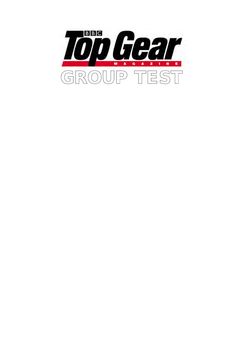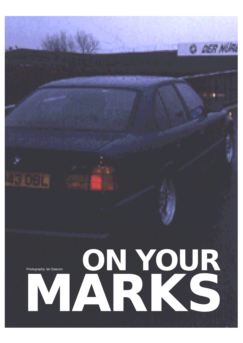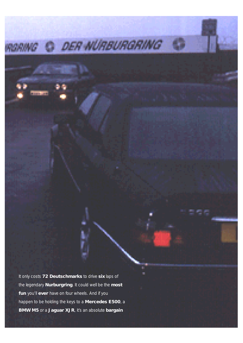It only costs **72 Deutschmarks** to drive **six** laps of the legendary **Nurburgring**. It could well be the **most fun** you'll **ever** have on four wheels. And if you happen to be holding the keys to a **Mercedes E500**, a **BMW M5** or a **Jaguar XJR**, it's an absolute **bargain** 

F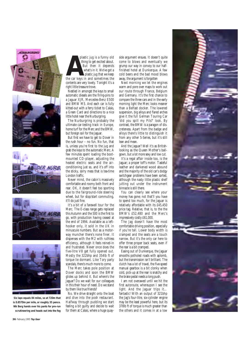







**Six laps equals 84 miles, so at 72Dm that is 0.857Dm per mile, or roughly 35 pence. Nik Berg hands over his pants for pre-run scrutineering and heads out into the fog**

plastic jug is a funny old thing to get excited about. But then it depends what's in it. We've got a plastic jug that we keep plastic jug is a funny old<br>thing to get excited about.<br>But then it depends<br>what's in it. We've got a<br>plastic jug that we keep<br>the car keys in and sometimes the contents are very lovely. Tonight it's a right little treasure trove.

Nestled in amongst the keys to small automatic diesels are the firing-pins to a Jaguar XJR, Mercedes-Benz E500 and BMW M5. And each car is fully kitted-out with a ferry ticket to Calais, a Green Card and directions to a nice little hotel near the Nurburgring.

The Nurburgring is probably the ultimate car-testing track in Europe, home turf for the Merc and the BMW, but foreign soil for the Jaguar.

But first we have to get to Dover in the rush hour – no fun. No fun, that is, unless you're first to the jug and grab the keys to the automatic Merc. A few minutes spent loading the bootmounted CD-player, adjusting the heated electric seats and the airconditioning just so, and it's off into the sticky, sorry mess that is tea-time London traffic.

Never mind, the cabin's massively comfortable and roomy both front and rear. OK, it doesn't feel too sporting due to the fairground-ride steering wheel, but for stop/start commuting, it'll do just fine.

It's a bit of a farewell tour for the Merc. The E-class range gets replaced this Autumn and the 500 is the first to go, with production having ceased at the end of 1994. Available as a lefthooker only, it sold in the UK in minuscule numbers. But as a motorway muncher there's none finer. It dispenses with the M2 with ruthless efficiency, although it feels reined-in and frustrated. Never once does the five-litre V8 get fully opened out. Mostly the 322bhp and 354lb ft of torque lie dormant. Like Tory party scandals, there's much more to come.

The Merc takes pole position at Dover docks and soon the BMW glides up behind it. But where's the Jaguar? Do we wait for our colleagues in this their hour of need. Do we stand by them like true friends?

No. We drive straight onto the boat and dive into the posh restaurant. Halfway through pudding we start feeling a bit guilty and decide to wait for them at Calais, where a huge quayside argument ensues. It doesn't quite come to blows and eventually we grump our way in convoy to our halffinished hotel at Dunkerque. A few cold beers and the bad mood blows away, the argument is forgotten

Next morning we let the engines warm and pore over maps to work out our route through France, Belgium and Germany. It's the first chance to compare the three cars and in the early morning light the Merc looks meaner than a Belfast docker. The lowered suspension, big alloys and flared arches give it the full German Touring Car 'did you spill my Pils?' look. By contrast, the BMW is a paragon of discreteness. Apart from the badge and alloys there's little to distinguish it from any other 5-Series, but it's still lean and mean.

And the Jaguar? Well it's as Britishlooking as the Queen Mother's ballgown, but a lot more sexy and low cut.

It's a regal affair inside too, is the Jaguar; a proper toff's motor. Tasteful leather and darkened wood abound and the majority of the old car's dodgy switchgear problems have been sorted, although the nasty little plastic shelf jutting out under the instrument binnacle is still there.

You can clearly see where your money has gone; not that'll you have to spend too much, for the Jaguar is relatively affordable with its £45,450 price tag. Relative, that is, to the the BMW's £52,480 and the Merc's impressively costly £61,000.

The Jag doesn't have the most comfortable driving position, especially if you're tall. Lower body width is cramped and the seats are a touch narrow. But it's the only car here to offer three proper back seats, even if the rear is a bit cramped.

Easing out of Dunkerque, the Jaguar smooths potholed roads with aplomb, but the transmission isn't brilliant. The clutch has a lot of travel, the five-speed manual gearbox is a bit clonky when cold, pick-up at the rear is snatchy and the brake pedal needs a long push.

I am not overawed until we hit the first autoroute, whereupon I see the light. And the Jaguar trips it… fantastic! With an output of 321bhp the Jag's four-litre, six-cylinder engine may be the least powerful here, but its 378lb ft of torque is much greater than the others and it comes in at a low

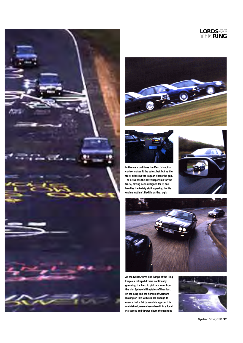







**In the wet conditions the Merc's traction control makes it the safest bet, but as the track dries out the Jaguar closes the gap. The BMW has the best suspension for the track, having been designed for it, and handles the twisty stuff superbly, but its engine just isn't flexible as the Jag's**





**As the twists, turns and lumps of the Ring keep our intrepid drivers continually guessing, it's hard to pick a winner from the trio. Spine-chilling tales of lives lost on the Ring and the hordes of Germans looking on like vultures are enough to ensure that a fairly sensible approach is maintained, even when a bandit in a local M5 comes and throws down the gauntlet**



**Top Gear** February 1995 **37**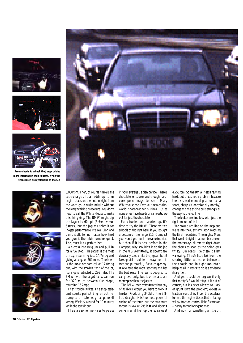





**From wheels to wheel, the Jag provides more information than Reuters, while the Mercedes is as mysterious as the CIA**









We cross into Belgium and pull in for a fuel stop. The Jaguar is the most thirsty, returning just 14.7mpg and giving a range of 262 miles. The Merc is the most economical at 17.0mpg but, with the smallest tank of the lot, its range is restricted to 296 miles. The BMW, with the largest tank, can run for 320 miles between fuel stops, returning 16.2mpg.

Then trouble strikes. The shop assistant speaks perfect English but her pump-to-till telemetry has gone all wrong. We kick around for 10 minutes while she sorts it out.

There are some fine wares to peruse

in your average Belgian garage. There's chocolate, of course, and enough hardcore porn mags to send Mary Whitehouse ape. Even our man-of-theworld photographer blushes. But as none of us have beards or raincoats, we opt for just the chocolate.

Fully fuelled and caloried-up, it's time to try the BMW. There are two schools of thought here: if you bought a bottom-of-the-range 316i Compact you would get much the same interior, but then if it is near perfect in the Compact, why shouldn't it do the job in the M5? Admittedly, it doesn't feel classically special like the Jaguar, but it feels special in a different way; more hitech and purposeful, if a touch gloomy. It also feels the most sporting and has the best seats. The rear is designed to carry two only, but it offers a touch more space than the Jaguar.

The BMW accelerates faster than any of its rivals, except you have to work it harder. Producing 340bhp, the 3.8 litre straight-six is the most powerful engine of the three, but the maximum torque is low at 295lb ft and doesn't come in until high up the rev range at

4,750rpm. So the BMW needs revving hard, but that's not a problem because the six-speed manual gearbox has a short, sharp (if occasionally notchy) change and the engine pulls strongly all the way to the red line.

The brakes are fine too, with just the right amount of feel.

We cross a red line on the map and we're into the Germany, soon reaching the Eifel mountains. The mighty Merc that went straight in at number one on the motorways plummets right down the charts as soon as the going gets twisty. On roads like these it's left wallowing. There's little feel from the steering, little tautness or balance to the chassis and in tight mountain hairpins all it wants to do is slamdance straight on.

And yet it could be forgiven if only that meaty V8 would catapult it out of corners, but it's never allowed to. Lack of grunt isn't the problem; excessive traction control is. Floor the accelerator and the engine dies as that irritating yellow traction control light flickers on – nanny technology gone mad.

And now for something a little bit

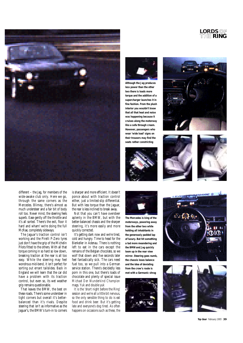## **LORDSOF THE RING**





**Although the Jag produces less power than the other two there is loads more torque and the addition of a supercharger launches it in fine fashion. From the plush interior you wouldn't know that all that heat and noise was happening because it cruises along the motorway like a sofa through cream. However, passengers who wear 'wide load' signs on their trousers may find the seats rather constricting**







different – the Jag, for members of the wide-awake club only. Here we go, through the same corners as the Mercedes. Blimey, there's almost as much understeer and a fair bit of body roll too. Never mind, the steering feels superb. Ease gently off the throttle and it's all sorted. There's the exit, floor it hard and wham! we're doing the full McRae, completely sideways.

The Jaguar's traction control isn't working and the Pirelli P-Zero tyres just don't have the grip of the Michelin Pilots fitted to the others. With all that torque coming in so hard so low down, breaking traction at the rear is all too easy. While the steering may feel wondrous mid-bend, it isn't perfect for sorting out errant tailslides. Back in England we will learn that the car did have a problem with its traction control, but even so, its wet weather grip remains questionable.

That leaves the BMW, the best on these roads. There's some understeer in tight corners but overall it's betterbalanced than it's rivals. Despite steering that isn't as informative as the Jaguar's, the BMW's turn-in to corners

is sharper and more efficient. It doesn't ponce about with traction control either, just a limited-slip differential. But with less torque than the Jaguar. the rear is less inclined to break away.

Not that you can't have oversteer aplenty in the BMW, but with the better-balanced chassis and the sharper steering, it's more easily and more quickly corrected.

It's getting dark now and we're tired. cold and hungry. Time to head for the Bierkeller in Adenau. There is nothing left to eat in the cars except the remains of the Belgian chocolate, so we wolf that down and five seconds later feel fantastically sick. The cars need fuel too, so we pull into a German service station. There's decidedly less porn in this one, but there's loads of chocolate and plenty of special issue *Michael Der Wunderkind Champion* mags. Yuk and double yuk

It is the 'short night before the Ring' session and we're all a little bit nervous. so the only sensible thing to do is eat food and drink beer. But it's getting late and everyone's dog tired. As often happens on occasions such as these, the



**The Mercedes is king of the motorways, powering away from the other two while holding all inhabitants in the generously padded lap of luxury. But hit something a tad more meandering and the BMW and Jag quickly loom up in the rear view mirror. Steering goes numb, the chassis loses balance and the idea of deviating from the crow's route is met with a Germanic shrug**





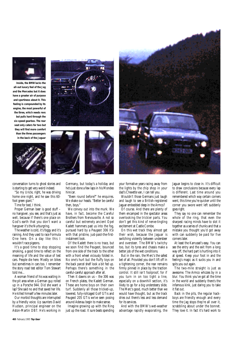

**Inside, the BMW lacks the all-out luxury feel of the Jag and the Mercedes but it does have a greater air of purpose and sportiness about it. This feeling is compounded by its engine, the most powerful of the three, which needs revs but pulls hard through the six-speed gearbox. The rear seat only caters for two but they will find more comfort than the three passengers in the back of the Jaguar**



conversation turns to ghost stories and is starting to get very weird indeed.

"So my Uncle, right, he was driving home one night, and he saw this 60 foot green giant." Time for bed, I think.

Proper German beer is good stuff – no hangover, you see, and that's just as well, because if there's one place on God's earth that you don't want a hangover it's the Nurburgring.

The weather is cold, it's foggy and it's raining. And they used to race Formula One here. On a day like this I wouldn't race pigeons.

It's a good time to stop stopping smoking, a good time to reflect on the meaning of life and the value of test cars. People die here. Mostly on bikes but sometimes in cars too. I remember the story road test editor Tom Stewart told me…

A woman friend of his was waiting in the pit area when a German guy rolled up in a Porsche 944. Did she want a lap? She said no and that saved her life. He killed himself a few minutes later.

Our morbid thoughts are interrupted by a friendly voice. Up saunters David Hudson, principal engineer on the Aston-Martin DB7. He's working in Germany, but today's a holiday and he's just done a few laps in his Mondeo hire car.

"Been round before?" he enquires. We shake our heads. "Better be careful then, boys."

We convoy out into the murk. We have, in fact, become the Careful Brothers from Nervousville. A not so careful but extremely ancient Opel Kadett hammers past us into the fog, pursued hard by a Peugeot 306 XSi with that pristine, just-paid-the-firstinstalment look.

Of the Kadett there is no trace, but we soon find the Peugeot, bounced from one side of the track to the other with a front wheel viciously folded in. No one's hurt but the fluffy toys on the back parcel shelf look a bit fed up. Perhaps there's something in the careful-careful approach after all.

Then it dawns on us – the 306 was on French plates, the Kadett German. These are home boys on their own turf. Suddenly all those tricked-up, lowered, fully-rollcaged Golf GTis and Peugeot 205 GTis we've seen posing around Adenau begin to make sense.

Imagine growing up with the Ring just up the road. It sure beats spending your formative years racing away from the lights by the chip shop in your dad's Chevette van, I can tell you.

Wouldn't those Germans just laugh and laugh to see a British-registered Jaguar embedded deep in the Armco?

Of course. And there are plenty of them encamped in the spectator areas overlooking the trickier parts. You don't get this kind of nerve-tingling excitement at Castle Combe.

On this wet track they almost get their wish, because the Jaguar is switching violently between understeer and oversteer. The BMW's twitchy too, but its tyres and chassis make a better job of the wet conditions.

But in the rain, the Merc's the safest bet of all. Provided you don't lift off in a tightening corner, the rear remains firmly pinned in place by the traction control. It still isn't foolproof, for if you turn in on too tight a line, especially on a downhill section, it's likely to go for a big understeery slide. The Merc's good, much better than we would have thought, but as the track dries out there's less and less demand for its services

And with the BMW's wet-weather advantage rapidly evaporating, the

Jaguar begins to close in. It's difficult to draw conclusions because every lap is different. Last time around you remembered which way certain corners went, this time you're quicker until the corner you swore went left suddenly goes right.

They say no one can remember the whole of the ring, that even the sharpest racing minds have to slot it together as a series of chunks and that a mistake you thought you'd got away with can suddenly be paid for five corners later.

At least the Karrussel's easy. You can see the entry and the exit from a long way off, the hard part is hurtling into it at speed. Keep your foot in and the feeling's magic as it sucks you in and spits you out again.

The two-mile straight is just as awesome. The Armco whizzes by in a blur. You think you've got all the time in the world and suddenly there's the infamous kink, just daring you to take it flat out.

Back in the pits, the regular hackboys are friendly enough and every time the Jag stops they're all over it, scrabbling about under the bonnet. They love it. In fact it's hard work to



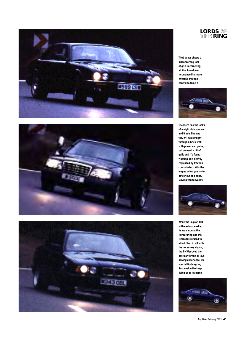



**The Jaguar shows a disconcerting lack of grip in cornering, all that low-down torque needing more effective traction control to tame it**







**The Merc has the looks of a night club bouncer and it acts like one too. It'll run straight through a brick wall with power and poise, but demand a bit of guile and it's found wanting. It is heavily repressed by traction control which kills the engine when you try to power out of a bend, leaving you to wallow**



**While the Jaguar XJR slithered and snaked its way around the Nurburgring and the Mercedes refused to attack the circuit with the necessary vigour, the BMW proved the best car for the all-out driving experience, its special Nurburgring Suspension Package living up to its name**